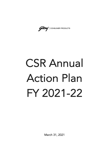Godrej | CONSUMER PRODUCTS

## CSR Annual Action Plan FY 2021-22

March 31, 2021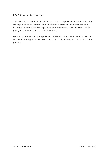## CSR Annual Action Plan

The CSR Annual Action Plan includes the list of CSR projects or programmes that are approved to be undertaken by the board in areas or subjects specified in Schedule VII of the Act. These projects or programmes are in line with our CSR policy and governed by the CSR committee.

We provide details about the projects and list of partners we're working with to implement it on ground. We also indicate funds earmarked and the status of the project.